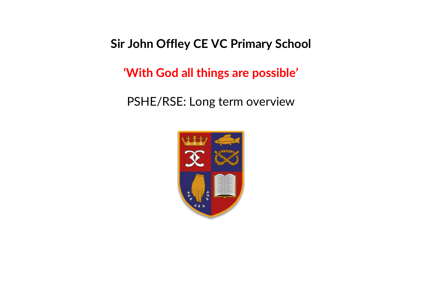## **Sir John Offley CE VC Primary School**

**'With God all things are possible'**

PSHE/RSE: Long term overview

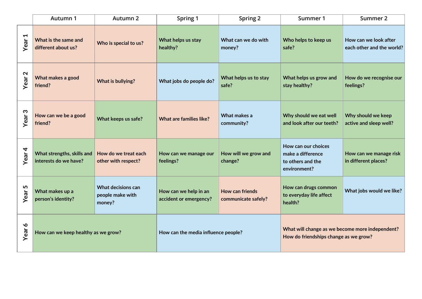|                                     | Autumn 1                                            | Autumn 2                                         | Spring 1                                        | Spring 2                                      | Summer 1                                                                                 | Summer 2                                           |
|-------------------------------------|-----------------------------------------------------|--------------------------------------------------|-------------------------------------------------|-----------------------------------------------|------------------------------------------------------------------------------------------|----------------------------------------------------|
| $\blacktriangleleft$<br><b>Year</b> | What is the same and<br>different about us?         | Who is special to us?                            | What helps us stay<br>healthy?                  | What can we do with<br>money?                 | Who helps to keep us<br>safe?                                                            | How can we look after<br>each other and the world? |
| $\mathbf{\Omega}$<br>Year           | What makes a good<br>friend?                        | What is bullying?                                | What jobs do people do?                         | What helps us to stay<br>safe?                | What helps us grow and<br>stay healthy?                                                  | How do we recognise our<br>feelings?               |
| S<br>Year                           | How can we be a good<br>friend?                     | What keeps us safe?                              | <b>What are families like?</b>                  | What makes a<br>community?                    | Why should we eat well<br>and look after our teeth?                                      | Why should we keep<br>active and sleep well?       |
| 4<br>Year                           | What strengths, skills and<br>interests do we have? | How do we treat each<br>other with respect?      | How can we manage our<br>feelings?              | How will we grow and<br>change?               | How can our choices<br>make a difference<br>to others and the<br>environment?            | How can we manage risk<br>in different places?     |
| 5<br>Year:                          | What makes up a<br>person's identity?               | What decisions can<br>people make with<br>money? | How can we help in an<br>accident or emergency? | <b>How can friends</b><br>communicate safely? | How can drugs common<br>to everyday life affect<br>health?                               | What jobs would we like?                           |
| $\mathbf{\hat{o}}$<br>Year          | How can we keep healthy as we grow?                 |                                                  | How can the media influence people?             |                                               | What will change as we become more independent?<br>How do friendships change as we grow? |                                                    |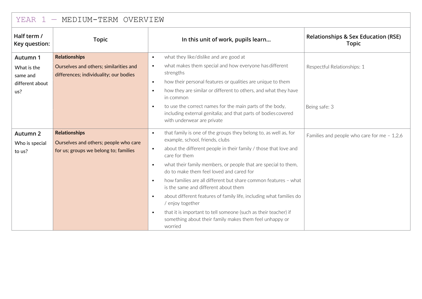| - MEDIUM-TERM OVERVIEW<br>YEAR 1 |                                                                                  |                                                                                                                                                                       |                                                                |  |  |
|----------------------------------|----------------------------------------------------------------------------------|-----------------------------------------------------------------------------------------------------------------------------------------------------------------------|----------------------------------------------------------------|--|--|
| Half term /<br>Key question:     | <b>Topic</b>                                                                     | In this unit of work, pupils learn                                                                                                                                    | <b>Relationships &amp; Sex Education (RSE)</b><br><b>Topic</b> |  |  |
| Autumn 1                         | <b>Relationships</b>                                                             | what they like/dislike and are good at<br>$\bullet$                                                                                                                   |                                                                |  |  |
| What is the<br>same and          | Ourselves and others; similarities and<br>differences; individuality; our bodies | what makes them special and how everyone has different<br>$\bullet$<br>strengths                                                                                      | Respectful Relationships: 1                                    |  |  |
| different about                  |                                                                                  | how their personal features or qualities are unique to them<br>$\bullet$                                                                                              |                                                                |  |  |
| us?                              |                                                                                  | how they are similar or different to others, and what they have<br>$\bullet$<br>in common                                                                             |                                                                |  |  |
|                                  |                                                                                  | to use the correct names for the main parts of the body,<br>$\bullet$<br>including external genitalia; and that parts of bodies covered<br>with underwear are private | Being safe: 3                                                  |  |  |
| Autumn 2                         | <b>Relationships</b>                                                             | that family is one of the groups they belong to, as well as, for<br>$\bullet$<br>example, school, friends, clubs                                                      | Families and people who care for me $-1,2,6$                   |  |  |
| Who is special<br>to us?         | Ourselves and others; people who care<br>for us; groups we belong to; families   | about the different people in their family / those that love and<br>$\bullet$<br>care for them                                                                        |                                                                |  |  |
|                                  |                                                                                  | what their family members, or people that are special to them,<br>$\bullet$<br>do to make them feel loved and cared for                                               |                                                                |  |  |
|                                  |                                                                                  | how families are all different but share common features - what<br>$\bullet$<br>is the same and different about them                                                  |                                                                |  |  |
|                                  |                                                                                  | about different features of family life, including what families do<br>$\bullet$<br>/ enjoy together                                                                  |                                                                |  |  |
|                                  |                                                                                  | that it is important to tell someone (such as their teacher) if<br>$\bullet$<br>something about their family makes them feel unhappy or<br>worried                    |                                                                |  |  |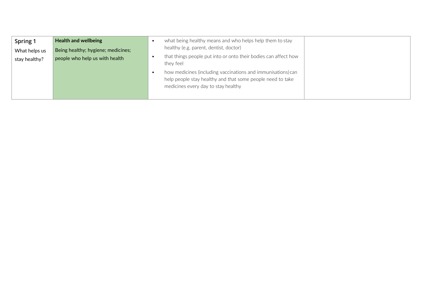| Spring 1<br>What helps us<br>stay healthy? | <b>Health and wellbeing</b><br>Being healthy; hygiene; medicines;<br>people who help us with health | what being healthy means and who helps help them to stay<br>healthy (e.g. parent, dentist, doctor)<br>that things people put into or onto their bodies can affect how<br>they feel |  |
|--------------------------------------------|-----------------------------------------------------------------------------------------------------|------------------------------------------------------------------------------------------------------------------------------------------------------------------------------------|--|
|                                            |                                                                                                     | how medicines (including vaccinations and immunisations) can<br>help people stay healthy and that some people need to take<br>medicines every day to stay healthy                  |  |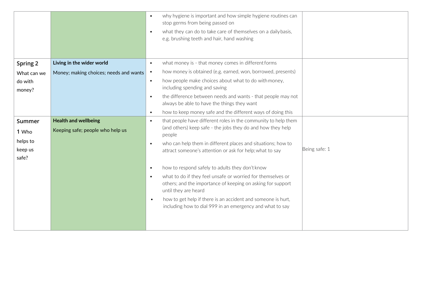|                              |                                                                 | why hygiene is important and how simple hygiene routines can<br>$\bullet$<br>stop germs from being passed on                                                    |
|------------------------------|-----------------------------------------------------------------|-----------------------------------------------------------------------------------------------------------------------------------------------------------------|
|                              |                                                                 | what they can do to take care of themselves on a daily basis,<br>$\bullet$<br>e.g. brushing teeth and hair, hand washing                                        |
|                              |                                                                 |                                                                                                                                                                 |
| Spring 2                     | Living in the wider world                                       | what money is - that money comes in different forms<br>$\bullet$                                                                                                |
| What can we                  | Money; making choices; needs and wants                          | how money is obtained (e.g. earned, won, borrowed, presents)<br>$\bullet$                                                                                       |
| do with<br>money?            |                                                                 | how people make choices about what to do with money,<br>$\bullet$<br>including spending and saving                                                              |
|                              |                                                                 | the difference between needs and wants - that people may not<br>$\bullet$<br>always be able to have the things they want                                        |
|                              |                                                                 | how to keep money safe and the different ways of doing this<br>$\bullet$                                                                                        |
| Summer<br>1 Who              | <b>Health and wellbeing</b><br>Keeping safe; people who help us | that people have different roles in the community to help them<br>$\bullet$<br>(and others) keep safe - the jobs they do and how they help<br>people            |
| helps to<br>keep us<br>safe? |                                                                 | who can help them in different places and situations; how to<br>$\bullet$<br>Being safe: 1<br>attract someone's attention or ask for help; what to say          |
|                              |                                                                 | how to respond safely to adults they don't know<br>$\bullet$                                                                                                    |
|                              |                                                                 | what to do if they feel unsafe or worried for themselves or<br>$\bullet$<br>others; and the importance of keeping on asking for support<br>until they are heard |
|                              |                                                                 | how to get help if there is an accident and someone is hurt,<br>$\bullet$<br>including how to dial 999 in an emergency and what to say                          |
|                              |                                                                 |                                                                                                                                                                 |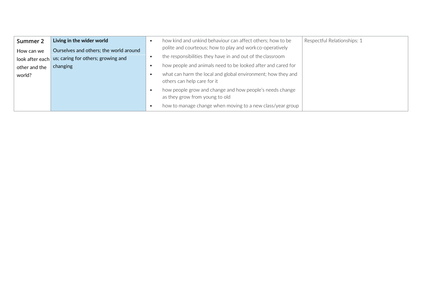| Summer 2      | Living in the wider world                          |           | how kind and unkind behaviour can affect others; how to be                                  | Respectful Relationships: 1 |
|---------------|----------------------------------------------------|-----------|---------------------------------------------------------------------------------------------|-----------------------------|
| How can we    | Ourselves and others; the world around             |           | polite and courteous; how to play and work co-operatively                                   |                             |
|               | look after each us; caring for others; growing and |           | the responsibilities they have in and out of the classroom                                  |                             |
| other and the | changing                                           |           | how people and animals need to be looked after and cared for                                |                             |
| world?        |                                                    | $\bullet$ | what can harm the local and global environment; how they and<br>others can help care for it |                             |
|               |                                                    | $\bullet$ | how people grow and change and how people's needs change<br>as they grow from young to old  |                             |
|               |                                                    |           | how to manage change when moving to a new class/year group                                  |                             |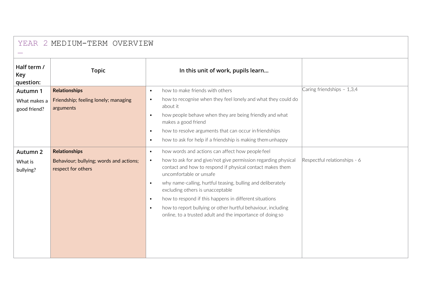| Half term /<br>Key<br>question: | <b>Topic</b>                                                  | In this unit of work, pupils learn                                                                                                                                                                                                                                                                                                                                                                                                                                                                   |                              |
|---------------------------------|---------------------------------------------------------------|------------------------------------------------------------------------------------------------------------------------------------------------------------------------------------------------------------------------------------------------------------------------------------------------------------------------------------------------------------------------------------------------------------------------------------------------------------------------------------------------------|------------------------------|
| Autumn 1                        | <b>Relationships</b>                                          | how to make friends with others<br>$\bullet$                                                                                                                                                                                                                                                                                                                                                                                                                                                         | Caring friendships - 1,3,4   |
| What makes a<br>good friend?    | Friendship; feeling lonely; managing<br>arguments             | how to recognise when they feel lonely and what they could do<br>$\bullet$<br>about it<br>how people behave when they are being friendly and what<br>$\bullet$<br>makes a good friend<br>how to resolve arguments that can occur in friendships<br>$\bullet$<br>how to ask for help if a friendship is making them unhappy<br>$\bullet$                                                                                                                                                              |                              |
| Autumn 2                        | <b>Relationships</b>                                          | how words and actions can affect how people feel<br>$\bullet$                                                                                                                                                                                                                                                                                                                                                                                                                                        |                              |
| What is<br>bullying?            | Behaviour; bullying; words and actions;<br>respect for others | how to ask for and give/not give permission regarding physical<br>$\bullet$<br>contact and how to respond if physical contact makes them<br>uncomfortable or unsafe<br>why name-calling, hurtful teasing, bulling and deliberately<br>$\bullet$<br>excluding others is unacceptable<br>how to respond if this happens in different situations<br>$\bullet$<br>how to report bullying or other hurtful behaviour, including<br>$\bullet$<br>online, to a trusted adult and the importance of doing so | Respectful relationships - 6 |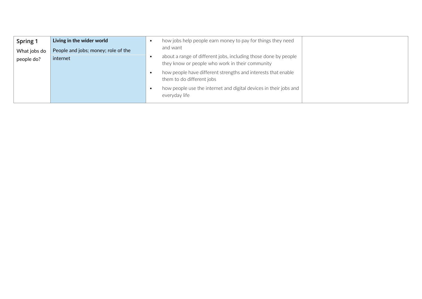| Spring 1     | Living in the wider world           | how jobs help people earn money to pay for things they need                                |  |
|--------------|-------------------------------------|--------------------------------------------------------------------------------------------|--|
| What jobs do | People and jobs; money; role of the | and want<br>about a range of different jobs, including those done by people                |  |
| people do?   | internet                            | they know or people who work in their community                                            |  |
|              |                                     | how people have different strengths and interests that enable<br>them to do different jobs |  |
|              |                                     | how people use the internet and digital devices in their jobs and<br>everyday life         |  |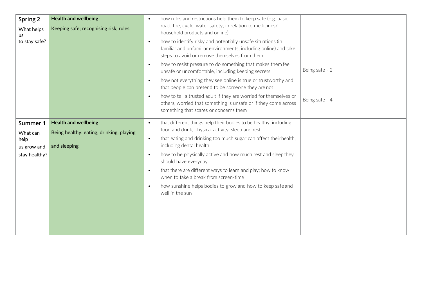| Spring 2<br>What helps<br>us<br>to stay safe?                | <b>Health and wellbeing</b><br>Keeping safe; recognising risk; rules                    | how rules and restrictions help them to keep safe (e.g. basic<br>$\bullet$<br>road, fire, cycle, water safety; in relation to medicines/<br>household products and online)<br>how to identify risky and potentially unsafe situations (in<br>$\bullet$<br>familiar and unfamiliar environments, including online) and take<br>steps to avoid or remove themselves from them<br>how to resist pressure to do something that makes them feel<br>$\bullet$<br>unsafe or uncomfortable, including keeping secrets<br>how not everything they see online is true or trustworthy and<br>$\bullet$<br>that people can pretend to be someone they are not<br>how to tell a trusted adult if they are worried for themselves or<br>$\bullet$<br>others, worried that something is unsafe or if they come across<br>something that scares or concerns them | Being safe - 2<br>Being safe - 4 |
|--------------------------------------------------------------|-----------------------------------------------------------------------------------------|--------------------------------------------------------------------------------------------------------------------------------------------------------------------------------------------------------------------------------------------------------------------------------------------------------------------------------------------------------------------------------------------------------------------------------------------------------------------------------------------------------------------------------------------------------------------------------------------------------------------------------------------------------------------------------------------------------------------------------------------------------------------------------------------------------------------------------------------------|----------------------------------|
| Summer 1<br>What can<br>help<br>us grow and<br>stay healthy? | <b>Health and wellbeing</b><br>Being healthy: eating, drinking, playing<br>and sleeping | that different things help their bodies to be healthy, including<br>$\bullet$<br>food and drink, physical activity, sleep and rest<br>that eating and drinking too much sugar can affect their health,<br>$\bullet$<br>including dental health<br>how to be physically active and how much rest and sleepthey<br>$\bullet$<br>should have everyday<br>that there are different ways to learn and play; how to know<br>$\bullet$<br>when to take a break from screen-time<br>how sunshine helps bodies to grow and how to keep safe and<br>$\bullet$<br>well in the sun                                                                                                                                                                                                                                                                           |                                  |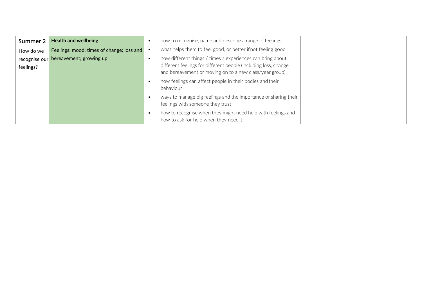| Summer 2      | <b>Health and wellbeing</b>               | $\bullet$ | how to recognise, name and describe a range of feelings                                                                    |  |
|---------------|-------------------------------------------|-----------|----------------------------------------------------------------------------------------------------------------------------|--|
| How do we     | Feelings; mood; times of change; loss and |           | what helps them to feel good, or better if not feeling good                                                                |  |
| recognise our | bereavement; growing up                   | $\bullet$ | how different things / times / experiences can bring about                                                                 |  |
| feelings?     |                                           |           | different feelings for different people (including loss, change<br>and bereavement or moving on to a new class/year group) |  |
|               |                                           | $\bullet$ | how feelings can affect people in their bodies and their<br>behaviour                                                      |  |
|               |                                           |           | ways to manage big feelings and the importance of sharing their<br>feelings with someone they trust                        |  |
|               |                                           |           | how to recognise when they might need help with feelings and<br>how to ask for help when they need it                      |  |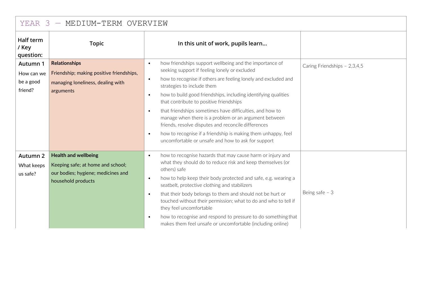| YEAR 3 - MEDIUM-TERM OVERVIEW                  |                                                                                                                              |                                                                                                                                                                                                                                                                                                                                                                                                                                                                                                                                                                                                                                                                                           |                              |  |  |  |
|------------------------------------------------|------------------------------------------------------------------------------------------------------------------------------|-------------------------------------------------------------------------------------------------------------------------------------------------------------------------------------------------------------------------------------------------------------------------------------------------------------------------------------------------------------------------------------------------------------------------------------------------------------------------------------------------------------------------------------------------------------------------------------------------------------------------------------------------------------------------------------------|------------------------------|--|--|--|
| Half term<br>/ Key<br>question:                | <b>Topic</b>                                                                                                                 | In this unit of work, pupils learn                                                                                                                                                                                                                                                                                                                                                                                                                                                                                                                                                                                                                                                        |                              |  |  |  |
| Autumn 1<br>How can we<br>be a good<br>friend? | <b>Relationships</b><br>Friendship; making positive friendships,<br>managing loneliness, dealing with<br>arguments           | how friendships support wellbeing and the importance of<br>$\bullet$<br>seeking support if feeling lonely or excluded<br>how to recognise if others are feeling lonely and excluded and<br>$\bullet$<br>strategies to include them<br>how to build good friendships, including identifying qualities<br>$\bullet$<br>that contribute to positive friendships<br>that friendships sometimes have difficulties, and how to<br>$\bullet$<br>manage when there is a problem or an argument between<br>friends, resolve disputes and reconcile differences<br>how to recognise if a friendship is making them unhappy, feel<br>$\bullet$<br>uncomfortable or unsafe and how to ask for support | Caring Friendships - 2,3,4,5 |  |  |  |
| Autumn 2<br>What keeps<br>us safe?             | <b>Health and wellbeing</b><br>Keeping safe; at home and school;<br>our bodies; hygiene; medicines and<br>household products | how to recognise hazards that may cause harm or injury and<br>$\bullet$<br>what they should do to reduce risk and keep themselves (or<br>others) safe<br>how to help keep their body protected and safe, e.g. wearing a<br>$\bullet$<br>seatbelt, protective clothing and stabilizers<br>that their body belongs to them and should not be hurt or<br>$\bullet$<br>touched without their permission; what to do and who to tell if<br>they feel uncomfortable<br>how to recognise and respond to pressure to do something that<br>$\bullet$<br>makes them feel unsafe or uncomfortable (including online)                                                                                 | Being safe $-3$              |  |  |  |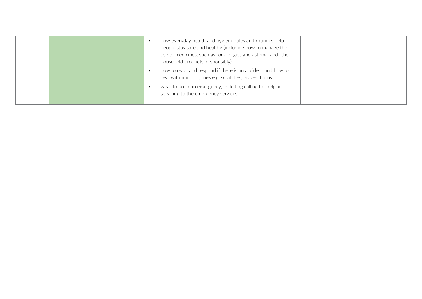| how everyday health and hygiene rules and routines help<br>people stay safe and healthy (including how to manage the<br>use of medicines, such as for allergies and asthma, and other<br>household products, responsibly) |  |
|---------------------------------------------------------------------------------------------------------------------------------------------------------------------------------------------------------------------------|--|
| how to react and respond if there is an accident and how to<br>deal with minor injuries e.g. scratches, grazes, burns<br>what to do in an emergency, including calling for help and<br>speaking to the emergency services |  |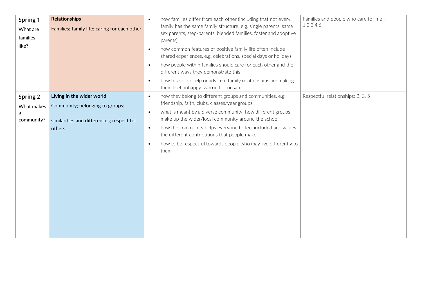| Spring 1<br>What are<br>families<br>like? | <b>Relationships</b><br>Families; family life; caring for each other                                                | how families differ from each other (including that not every<br>$\bullet$<br>family has the same family structure, e.g. single parents, same<br>sex parents, step-parents, blended families, foster and adoptive<br>parents)<br>how common features of positive family life often include<br>$\bullet$<br>shared experiences, e.g. celebrations, special days or holidays<br>how people within families should care for each other and the<br>$\bullet$<br>different ways they demonstrate this<br>how to ask for help or advice if family relationships are making<br>$\bullet$<br>them feel unhappy, worried or unsafe | Families and people who care for me -<br>1,2,3,4,6 |
|-------------------------------------------|---------------------------------------------------------------------------------------------------------------------|---------------------------------------------------------------------------------------------------------------------------------------------------------------------------------------------------------------------------------------------------------------------------------------------------------------------------------------------------------------------------------------------------------------------------------------------------------------------------------------------------------------------------------------------------------------------------------------------------------------------------|----------------------------------------------------|
| Spring 2<br>What makes<br>community?      | Living in the wider world<br>Community; belonging to groups;<br>similarities and differences; respect for<br>others | how they belong to different groups and communities, e.g.<br>$\bullet$<br>friendship, faith, clubs, classes/year groups<br>what is meant by a diverse community; how different groups<br>$\bullet$<br>make up the wider/local community around the school<br>how the community helps everyone to feel included and values<br>$\bullet$<br>the different contributions that people make<br>how to be respectful towards people who may live differently to<br>$\bullet$<br>them                                                                                                                                            | Respectful relationships: 2, 3, 5                  |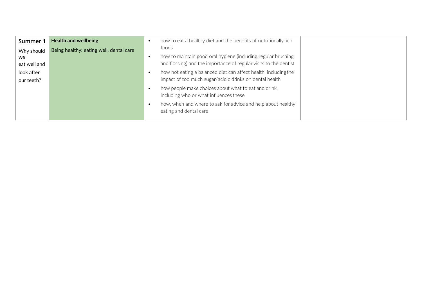| Summer 1                          | <b>Health and wellbeing</b>             |           | how to eat a healthy diet and the benefits of nutritionally rich                                                                            |  |
|-----------------------------------|-----------------------------------------|-----------|---------------------------------------------------------------------------------------------------------------------------------------------|--|
| Why should<br>we.<br>eat well and | Being healthy: eating well, dental care | $\bullet$ | foods<br>how to maintain good oral hygiene (including regular brushing<br>and flossing) and the importance of regular visits to the dentist |  |
| look after<br>our teeth?          |                                         | ٠         | how not eating a balanced diet can affect health, including the<br>impact of too much sugar/acidic drinks on dental health                  |  |
|                                   |                                         | $\bullet$ | how people make choices about what to eat and drink,<br>including who or what influences these                                              |  |
|                                   |                                         | $\bullet$ | how, when and where to ask for advice and help about healthy<br>eating and dental care                                                      |  |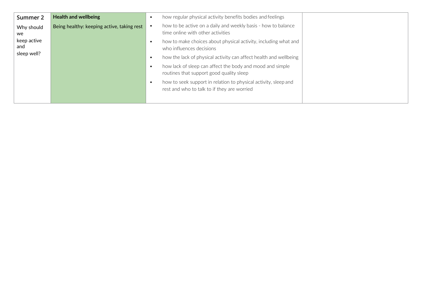| Summer 2           | <b>Health and wellbeing</b>                | $\bullet$ | how regular physical activity benefits bodies and feelings                                                     |  |
|--------------------|--------------------------------------------|-----------|----------------------------------------------------------------------------------------------------------------|--|
| Why should<br>we   | Being healthy: keeping active, taking rest |           | how to be active on a daily and weekly basis - how to balance<br>time online with other activities             |  |
| keep active<br>and |                                            | $\bullet$ | how to make choices about physical activity, including what and<br>who influences decisions                    |  |
| sleep well?        |                                            | $\bullet$ | how the lack of physical activity can affect health and wellbeing                                              |  |
|                    |                                            | $\bullet$ | how lack of sleep can affect the body and mood and simple<br>routines that support good quality sleep          |  |
|                    |                                            | $\bullet$ | how to seek support in relation to physical activity, sleep and<br>rest and who to talk to if they are worried |  |
|                    |                                            |           |                                                                                                                |  |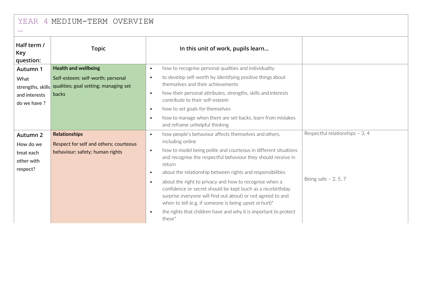|  | YEAR 4 MEDIUM-TERM OVERVIEW |  |
|--|-----------------------------|--|
|--|-----------------------------|--|

| Half term /<br>Key<br>question:                               | <b>Topic</b>                                                                                      | In this unit of work, pupils learn                                                                                                                                                                                                                                                                                                                                                                                                                                                                                                                                                                                                                                                     |                                                          |
|---------------------------------------------------------------|---------------------------------------------------------------------------------------------------|----------------------------------------------------------------------------------------------------------------------------------------------------------------------------------------------------------------------------------------------------------------------------------------------------------------------------------------------------------------------------------------------------------------------------------------------------------------------------------------------------------------------------------------------------------------------------------------------------------------------------------------------------------------------------------------|----------------------------------------------------------|
| Autumn 1                                                      | <b>Health and wellbeing</b>                                                                       | how to recognise personal qualities and individuality<br>$\bullet$                                                                                                                                                                                                                                                                                                                                                                                                                                                                                                                                                                                                                     |                                                          |
| What<br>strengths, skills<br>and interests<br>do we have ?    | Self-esteem: self-worth; personal<br>qualities; goal setting; managing set<br><b>backs</b>        | to develop self-worth by identifying positive things about<br>$\bullet$<br>themselves and their achievements<br>how their personal attributes, strengths, skills and interests<br>$\bullet$<br>contribute to their self-esteem                                                                                                                                                                                                                                                                                                                                                                                                                                                         |                                                          |
|                                                               |                                                                                                   | how to set goals for themselves<br>$\bullet$<br>how to manage when there are set-backs, learn from mistakes<br>$\bullet$<br>and reframe unhelpful thinking                                                                                                                                                                                                                                                                                                                                                                                                                                                                                                                             |                                                          |
| Autumn 2<br>How do we<br>treat each<br>other with<br>respect? | <b>Relationships</b><br>Respect for self and others; courteous<br>behaviour; safety; human rights | how people's behaviour affects themselves and others,<br>$\bullet$<br>including online<br>how to model being polite and courteous in different situations<br>$\bullet$<br>and recognise the respectful behaviour they should receive in<br>return<br>about the relationship between rights and responsibilities<br>$\bullet$<br>about the right to privacy and how to recognise when a<br>$\bullet$<br>confidence or secret should be kept (such as a nicebirthday<br>surprise everyone will find out about) or not agreed to and<br>when to tell (e.g. if someone is being upset or hurt)*<br>the rights that children have and why it is important to protect<br>$\bullet$<br>these* | Respectful relationships - 3, 4<br>Being safe $-2, 5, 7$ |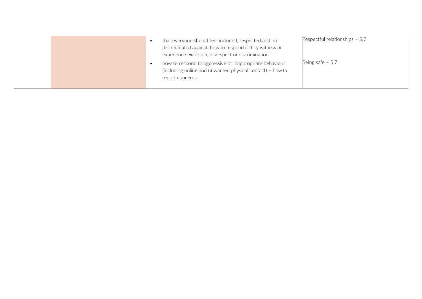|  | that everyone should feel included, respected and not<br>discriminated against; how to respond if they witness or<br>experience exclusion, disrespect or discrimination<br>how to respond to aggressive or inappropriate behaviour<br>(including online and unwanted physical contact) - how to<br>report concerns | Respectful relationships $-5,7$<br>Being safe $-5,7$ |
|--|--------------------------------------------------------------------------------------------------------------------------------------------------------------------------------------------------------------------------------------------------------------------------------------------------------------------|------------------------------------------------------|
|  |                                                                                                                                                                                                                                                                                                                    |                                                      |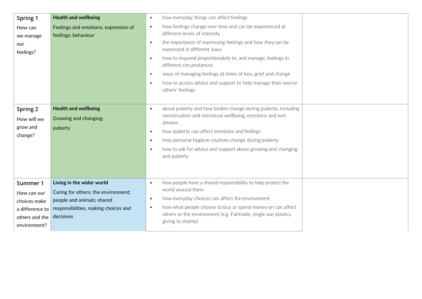| Spring 1                                                                                     | <b>Health and wellbeing</b>                                                                                                                         | how everyday things can affect feelings<br>$\bullet$                                                                                                                                                                                                                                                                                                                                                                                                                                               |
|----------------------------------------------------------------------------------------------|-----------------------------------------------------------------------------------------------------------------------------------------------------|----------------------------------------------------------------------------------------------------------------------------------------------------------------------------------------------------------------------------------------------------------------------------------------------------------------------------------------------------------------------------------------------------------------------------------------------------------------------------------------------------|
| How can<br>we manage<br>our<br>feelings?                                                     | Feelings and emotions; expression of<br>feelings; behaviour                                                                                         | how feelings change over time and can be experienced at<br>$\bullet$<br>different levels of intensity<br>the importance of expressing feelings and how they can be<br>$\bullet$<br>expressed in different ways<br>how to respond proportionately to, and manage, feelings in<br>$\bullet$<br>different circumstances<br>ways of managing feelings at times of loss, grief and change<br>$\bullet$<br>how to access advice and support to help manage their own or<br>$\bullet$<br>others' feelings |
| Spring 2<br>How will we<br>grow and<br>change?                                               | <b>Health and wellbeing</b><br>Growing and changing;<br>puberty                                                                                     | about puberty and how bodies change during puberty, including<br>$\bullet$<br>menstruation and menstrual wellbeing, erections and wet<br>dreams<br>how puberty can affect emotions and feelings<br>$\bullet$<br>how personal hygiene routines change during puberty<br>$\bullet$<br>how to ask for advice and support about growing and changing<br>$\bullet$<br>and puberty                                                                                                                       |
| Summer 1<br>How can our<br>choices make<br>a difference to<br>others and the<br>environment? | Living in the wider world<br>Caring for others; the environment;<br>people and animals; shared<br>responsibilities, making choices and<br>decisions | how people have a shared responsibility to help protect the<br>$\bullet$<br>world around them<br>how everyday choices can affect the environment<br>$\bullet$<br>how what people choose to buy or spend money on can affect<br>$\bullet$<br>others or the environment (e.g. Fairtrade, single use plastics,<br>giving to charity)                                                                                                                                                                  |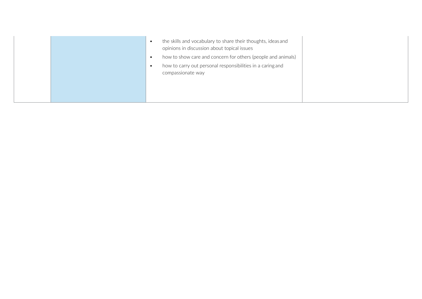|  | the skills and vocabulary to share their thoughts, ideas and<br>opinions in discussion about topical issues<br>how to show care and concern for others (people and animals)<br>$\bullet$<br>how to carry out personal responsibilities in a caring and<br>compassionate way |  |
|--|-----------------------------------------------------------------------------------------------------------------------------------------------------------------------------------------------------------------------------------------------------------------------------|--|
|--|-----------------------------------------------------------------------------------------------------------------------------------------------------------------------------------------------------------------------------------------------------------------------------|--|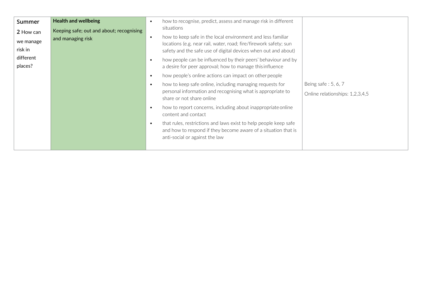| Summer    | <b>Health and wellbeing</b>              | $\bullet$ | how to recognise, predict, assess and manage risk in different                                                                                                       |                                 |
|-----------|------------------------------------------|-----------|----------------------------------------------------------------------------------------------------------------------------------------------------------------------|---------------------------------|
| 2 How can | Keeping safe; out and about; recognising |           | situations                                                                                                                                                           |                                 |
| we manage | and managing risk                        | $\bullet$ | how to keep safe in the local environment and less familiar<br>locations (e.g. near rail, water, road; fire/firework safety; sun                                     |                                 |
| risk in   |                                          |           | safety and the safe use of digital devices when out and about)                                                                                                       |                                 |
| different |                                          | $\bullet$ | how people can be influenced by their peers' behaviour and by                                                                                                        |                                 |
| places?   |                                          |           | a desire for peer approval; how to manage this influence                                                                                                             |                                 |
|           |                                          | $\bullet$ | how people's online actions can impact on other people                                                                                                               |                                 |
|           |                                          | $\bullet$ | how to keep safe online, including managing requests for                                                                                                             | Being safe: 5, 6, 7             |
|           |                                          |           | personal information and recognising what is appropriate to                                                                                                          | Online relationships: 1,2,3,4,5 |
|           |                                          |           | share or not share online                                                                                                                                            |                                 |
|           |                                          | $\bullet$ | how to report concerns, including about inappropriate online<br>content and contact                                                                                  |                                 |
|           |                                          | $\bullet$ | that rules, restrictions and laws exist to help people keep safe<br>and how to respond if they become aware of a situation that is<br>anti-social or against the law |                                 |
|           |                                          |           |                                                                                                                                                                      |                                 |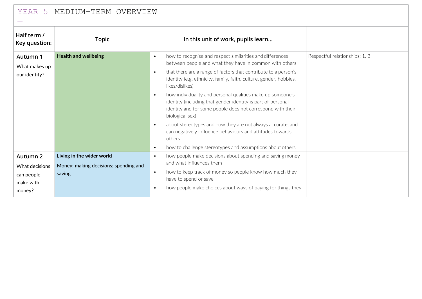| MEDIUM-TERM OVERVIEW<br>YEAR 5                                  |                                                                              |                                                                                                                                                                                                                                                                                                                                                                                                                                                                                                                                                                                                                                                                                                                                                                      |                                |  |  |
|-----------------------------------------------------------------|------------------------------------------------------------------------------|----------------------------------------------------------------------------------------------------------------------------------------------------------------------------------------------------------------------------------------------------------------------------------------------------------------------------------------------------------------------------------------------------------------------------------------------------------------------------------------------------------------------------------------------------------------------------------------------------------------------------------------------------------------------------------------------------------------------------------------------------------------------|--------------------------------|--|--|
| Half term /<br>Key question:                                    | <b>Topic</b>                                                                 | In this unit of work, pupils learn                                                                                                                                                                                                                                                                                                                                                                                                                                                                                                                                                                                                                                                                                                                                   |                                |  |  |
| Autumn 1<br>What makes up<br>our identity?                      | <b>Health and wellbeing</b>                                                  | how to recognise and respect similarities and differences<br>$\bullet$<br>between people and what they have in common with others<br>that there are a range of factors that contribute to a person's<br>$\bullet$<br>identity (e.g. ethnicity, family, faith, culture, gender, hobbies,<br>likes/dislikes)<br>how individuality and personal qualities make up someone's<br>$\bullet$<br>identity (including that gender identity is part of personal<br>identity and for some people does not correspond with their<br>biological sex)<br>about stereotypes and how they are not always accurate, and<br>$\bullet$<br>can negatively influence behaviours and attitudes towards<br>others<br>how to challenge stereotypes and assumptions about others<br>$\bullet$ | Respectful relationships: 1, 3 |  |  |
| Autumn 2<br>What decisions<br>can people<br>make with<br>money? | Living in the wider world<br>Money; making decisions; spending and<br>saving | how people make decisions about spending and saving money<br>$\bullet$<br>and what influences them<br>how to keep track of money so people know how much they<br>$\bullet$<br>have to spend or save<br>how people make choices about ways of paying for things they<br>$\bullet$                                                                                                                                                                                                                                                                                                                                                                                                                                                                                     |                                |  |  |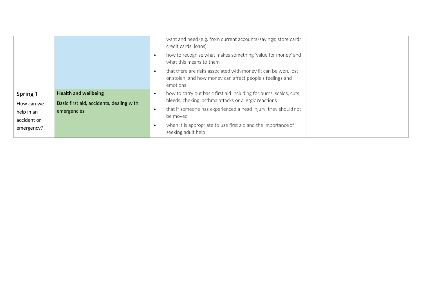|             |                                          | want and need (e.g. from current accounts/savings; store card/<br>credit cards; loans)<br>how to recognise what makes something 'value for money' and<br>what this means to them |  |
|-------------|------------------------------------------|----------------------------------------------------------------------------------------------------------------------------------------------------------------------------------|--|
|             |                                          | that there are risks associated with money (it can be won, lost<br>or stolen) and how money can affect people's feelings and<br>emotions                                         |  |
| Spring 1    | <b>Health and wellbeing</b>              | how to carry out basic first aid including for burns, scalds, cuts,                                                                                                              |  |
| How can we  | Basic first aid, accidents, dealing with | bleeds, choking, asthma attacks or allergic reactions                                                                                                                            |  |
| help in an  | emergencies                              | that if someone has experienced a head injury, they should not                                                                                                                   |  |
| accident or |                                          | be moved                                                                                                                                                                         |  |
| emergency?  |                                          | when it is appropriate to use first aid and the importance of<br>seeking adult help                                                                                              |  |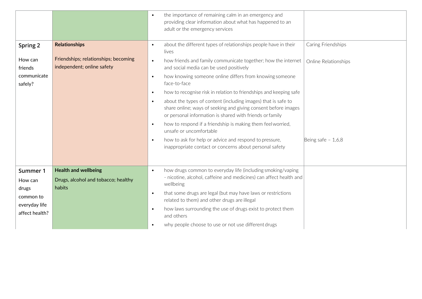|                            |                                                                    | the importance of remaining calm in an emergency and<br>$\bullet$<br>providing clear information about what has happened to an<br>adult or the emergency services                                        |                      |
|----------------------------|--------------------------------------------------------------------|----------------------------------------------------------------------------------------------------------------------------------------------------------------------------------------------------------|----------------------|
| Spring 2                   | <b>Relationships</b>                                               | about the different types of relationships people have in their<br>$\bullet$<br>lives                                                                                                                    | Caring Friendships   |
| How can<br>friends         | Friendships; relationships; becoming<br>independent; online safety | how friends and family communicate together; how the internet<br>$\bullet$<br>and social media can be used positively                                                                                    | Online Relationships |
| communicate<br>safely?     |                                                                    | how knowing someone online differs from knowing someone<br>$\bullet$<br>face-to-face                                                                                                                     |                      |
|                            |                                                                    | how to recognise risk in relation to friendships and keeping safe<br>$\bullet$                                                                                                                           |                      |
|                            |                                                                    | about the types of content (including images) that is safe to<br>$\bullet$<br>share online; ways of seeking and giving consent before images<br>or personal information is shared with friends or family |                      |
|                            |                                                                    | how to respond if a friendship is making them feelworried,<br>$\bullet$<br>unsafe or uncomfortable                                                                                                       |                      |
|                            |                                                                    | how to ask for help or advice and respond to pressure,<br>$\bullet$<br>inappropriate contact or concerns about personal safety                                                                           | Being safe $-1,6,8$  |
| Summer 1                   | <b>Health and wellbeing</b>                                        | how drugs common to everyday life (including smoking/vaping<br>$\bullet$                                                                                                                                 |                      |
| How can                    | Drugs, alcohol and tobacco; healthy                                | - nicotine, alcohol, caffeine and medicines) can affect health and<br>wellbeing                                                                                                                          |                      |
| drugs                      | habits                                                             | that some drugs are legal (but may have laws or restrictions<br>$\bullet$                                                                                                                                |                      |
| common to<br>everyday life |                                                                    | related to them) and other drugs are illegal                                                                                                                                                             |                      |
| affect health?             |                                                                    | how laws surrounding the use of drugs exist to protect them<br>$\bullet$<br>and others                                                                                                                   |                      |
|                            |                                                                    | why people choose to use or not use different drugs<br>$\bullet$                                                                                                                                         |                      |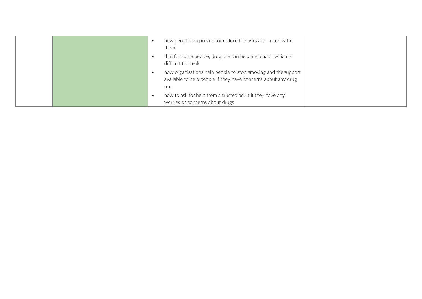|  | how people can prevent or reduce the risks associated with<br>them                                                                    |  |
|--|---------------------------------------------------------------------------------------------------------------------------------------|--|
|  | that for some people, drug use can become a habit which is<br>difficult to break                                                      |  |
|  | how organisations help people to stop smoking and the support<br>available to help people if they have concerns about any drug<br>use |  |
|  | how to ask for help from a trusted adult if they have any<br>worries or concerns about drugs                                          |  |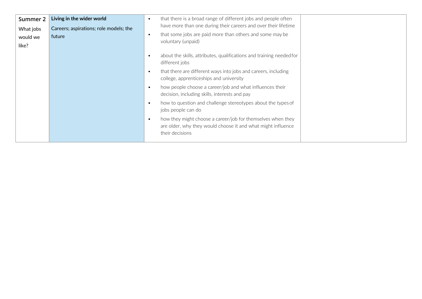| Summer 2<br>What jobs<br>would we<br>like? | Living in the wider world<br>Careers; aspirations; role models; the<br>future | that there is a broad range of different jobs and people often<br>$\bullet$<br>have more than one during their careers and over their lifetime<br>that some jobs are paid more than others and some may be<br>$\bullet$<br>voluntary (unpaid) |
|--------------------------------------------|-------------------------------------------------------------------------------|-----------------------------------------------------------------------------------------------------------------------------------------------------------------------------------------------------------------------------------------------|
|                                            |                                                                               | about the skills, attributes, qualifications and training needed for<br>$\bullet$<br>different jobs<br>that there are different ways into jobs and careers, including<br>$\bullet$<br>college, apprenticeships and university                 |
|                                            |                                                                               | how people choose a career/job and what influences their<br>$\bullet$<br>decision, including skills, interests and pay                                                                                                                        |
|                                            |                                                                               | how to question and challenge stereotypes about the types of<br>$\bullet$<br>jobs people can do                                                                                                                                               |
|                                            |                                                                               | how they might choose a career/job for themselves when they<br>$\bullet$<br>are older, why they would choose it and what might influence<br>their decisions                                                                                   |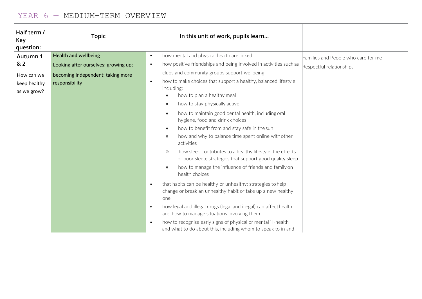| MEDIUM-TERM OVERVIEW<br>YEAR<br>6                            |                                                                                                                            |                                                                                                                                                                                                                                                                                                                                                                                                                                                                                                                                                                                                                                                                                                                                                                                                                                                                                                                                                                                                                                                                                                                                  |                                                                 |  |  |
|--------------------------------------------------------------|----------------------------------------------------------------------------------------------------------------------------|----------------------------------------------------------------------------------------------------------------------------------------------------------------------------------------------------------------------------------------------------------------------------------------------------------------------------------------------------------------------------------------------------------------------------------------------------------------------------------------------------------------------------------------------------------------------------------------------------------------------------------------------------------------------------------------------------------------------------------------------------------------------------------------------------------------------------------------------------------------------------------------------------------------------------------------------------------------------------------------------------------------------------------------------------------------------------------------------------------------------------------|-----------------------------------------------------------------|--|--|
| Half term /<br>Key<br>question:                              | <b>Topic</b>                                                                                                               | In this unit of work, pupils learn                                                                                                                                                                                                                                                                                                                                                                                                                                                                                                                                                                                                                                                                                                                                                                                                                                                                                                                                                                                                                                                                                               |                                                                 |  |  |
| Autumn 1<br>& 2<br>How can we<br>keep healthy<br>as we grow? | <b>Health and wellbeing</b><br>Looking after ourselves; growing up;<br>becoming independent; taking more<br>responsibility | how mental and physical health are linked<br>$\bullet$<br>how positive friendships and being involved in activities such as<br>$\bullet$<br>clubs and community groups support wellbeing<br>how to make choices that support a healthy, balanced lifestyle<br>$\bullet$<br>including:<br>how to plan a healthy meal<br>»<br>how to stay physically active<br>$\rightarrow$<br>how to maintain good dental health, including oral<br>»<br>hygiene, food and drink choices<br>how to benefit from and stay safe in the sun<br>»<br>how and why to balance time spent online with other<br>»<br>activities<br>how sleep contributes to a healthy lifestyle; the effects<br>$\rightarrow$<br>of poor sleep; strategies that support good quality sleep<br>how to manage the influence of friends and family on<br>$\rightarrow$<br>health choices<br>that habits can be healthy or unhealthy; strategies to help<br>$\bullet$<br>change or break an unhealthy habit or take up a new healthy<br>one<br>how legal and illegal drugs (legal and illegal) can affect health<br>$\bullet$<br>and how to manage situations involving them | Families and People who care for me<br>Respectful relationships |  |  |
|                                                              |                                                                                                                            | how to recognise early signs of physical or mental ill-health<br>$\bullet$<br>and what to do about this, including whom to speak to in and                                                                                                                                                                                                                                                                                                                                                                                                                                                                                                                                                                                                                                                                                                                                                                                                                                                                                                                                                                                       |                                                                 |  |  |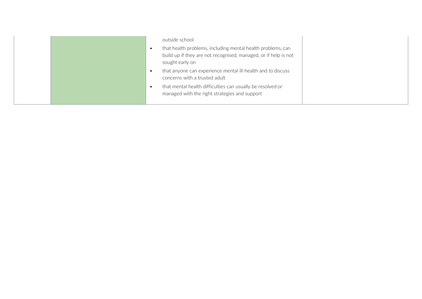| outside school<br>that health problems, including mental health problems, can<br>build up if they are not recognised, managed, or if help is not<br>sought early on                                         |  |
|-------------------------------------------------------------------------------------------------------------------------------------------------------------------------------------------------------------|--|
| that anyone can experience mental ill-health and to discuss<br>concerns with a trusted adult<br>that mental health difficulties can usually be resolved or<br>managed with the right strategies and support |  |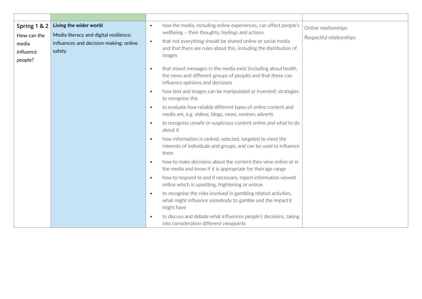| Spring 1 & 2<br>How can the<br>media<br>influence<br>people? | Living the wider world<br>Media literacy and digital resilience;<br>influences and decision-making; online<br>safety | $\bullet$<br>$\bullet$ | how the media, including online experiences, can affect people's<br>wellbeing - their thoughts, feelings and actions<br>that not everything should be shared online or social media<br>and that there are rules about this, including the distribution of<br>images | Online relationships<br>Respectful relationships |
|--------------------------------------------------------------|----------------------------------------------------------------------------------------------------------------------|------------------------|---------------------------------------------------------------------------------------------------------------------------------------------------------------------------------------------------------------------------------------------------------------------|--------------------------------------------------|
|                                                              |                                                                                                                      | $\bullet$              | that mixed messages in the media exist (including about health,<br>the news and different groups of people) and that these can<br>influence opinions and decisions                                                                                                  |                                                  |
|                                                              |                                                                                                                      | $\bullet$              | how text and images can be manipulated or invented; strategies<br>to recognise this                                                                                                                                                                                 |                                                  |
|                                                              |                                                                                                                      | $\bullet$              | to evaluate how reliable different types of online content and<br>media are, e.g. videos, blogs, news, reviews, adverts                                                                                                                                             |                                                  |
|                                                              |                                                                                                                      | $\bullet$              | to recognise unsafe or suspicious content online and what to do<br>about it                                                                                                                                                                                         |                                                  |
|                                                              |                                                                                                                      | $\bullet$              | how information is ranked, selected, targeted to meet the<br>interests of individuals and groups, and can be used to influence<br>them                                                                                                                              |                                                  |
|                                                              |                                                                                                                      | $\bullet$              | how to make decisions about the content they view online or in<br>the media and know if it is appropriate for theirage range                                                                                                                                        |                                                  |
|                                                              |                                                                                                                      | $\bullet$              | how to respond to and if necessary, report information viewed<br>online which is upsetting, frightening or untrue                                                                                                                                                   |                                                  |
|                                                              |                                                                                                                      | $\bullet$              | to recognise the risks involved in gambling related activities,<br>what might influence somebody to gamble and the impactit<br>might have                                                                                                                           |                                                  |
|                                                              |                                                                                                                      | $\bullet$              | to discuss and debate what influences people's decisions, taking<br>into consideration different viewpoints                                                                                                                                                         |                                                  |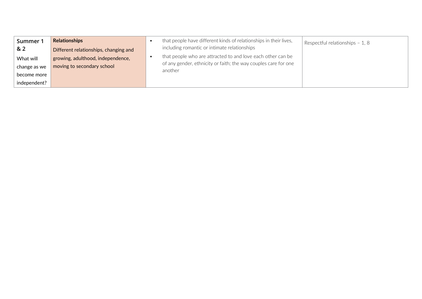| Summer 1<br>& 2             | Relationships<br>Different relationships, changing and          | that people have different kinds of relationships in their lives,<br>including romantic or intimate relationships                         | Respectful relationships - 1, 8 |
|-----------------------------|-----------------------------------------------------------------|-------------------------------------------------------------------------------------------------------------------------------------------|---------------------------------|
| What will<br>change as we   | growing, adulthood, independence,<br>moving to secondary school | that people who are attracted to and love each other can be<br>of any gender, ethnicity or faith; the way couples care for one<br>another |                                 |
| become more<br>independent? |                                                                 |                                                                                                                                           |                                 |